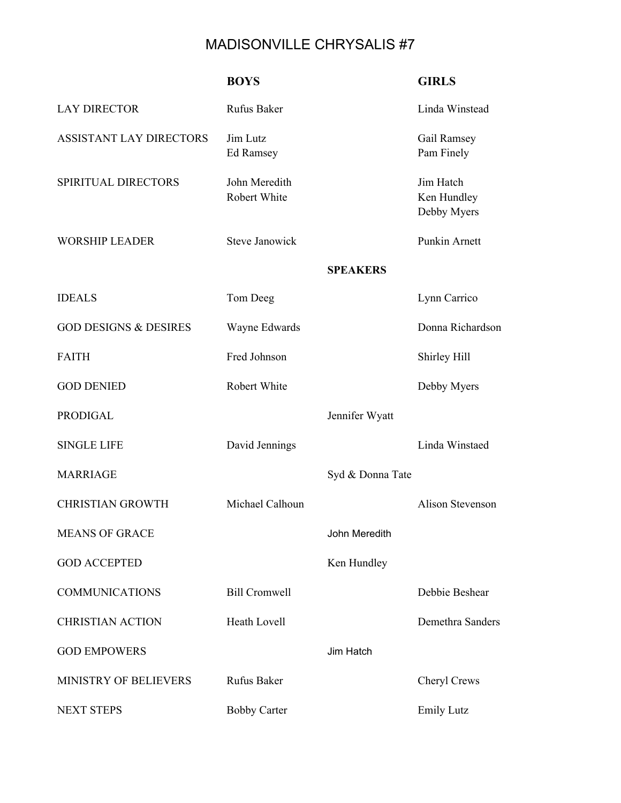## MADISONVILLE CHRYSALIS #7

|                                  | <b>BOYS</b>                   |                  | <b>GIRLS</b>                            |
|----------------------------------|-------------------------------|------------------|-----------------------------------------|
| <b>LAY DIRECTOR</b>              | <b>Rufus Baker</b>            |                  | Linda Winstead                          |
| ASSISTANT LAY DIRECTORS          | Jim Lutz<br><b>Ed Ramsey</b>  |                  | Gail Ramsey<br>Pam Finely               |
| SPIRITUAL DIRECTORS              | John Meredith<br>Robert White |                  | Jim Hatch<br>Ken Hundley<br>Debby Myers |
| <b>WORSHIP LEADER</b>            | <b>Steve Janowick</b>         |                  | Punkin Arnett                           |
|                                  |                               | <b>SPEAKERS</b>  |                                         |
| <b>IDEALS</b>                    | Tom Deeg                      |                  | Lynn Carrico                            |
| <b>GOD DESIGNS &amp; DESIRES</b> | Wayne Edwards                 |                  | Donna Richardson                        |
| <b>FAITH</b>                     | Fred Johnson                  |                  | Shirley Hill                            |
| <b>GOD DENIED</b>                | Robert White                  |                  | Debby Myers                             |
| <b>PRODIGAL</b>                  |                               | Jennifer Wyatt   |                                         |
| <b>SINGLE LIFE</b>               | David Jennings                |                  | Linda Winstaed                          |
| <b>MARRIAGE</b>                  |                               | Syd & Donna Tate |                                         |
| <b>CHRISTIAN GROWTH</b>          | Michael Calhoun               |                  | <b>Alison Stevenson</b>                 |
| <b>MEANS OF GRACE</b>            |                               | John Meredith    |                                         |
| <b>GOD ACCEPTED</b>              |                               | Ken Hundley      |                                         |
| <b>COMMUNICATIONS</b>            | <b>Bill Cromwell</b>          |                  | Debbie Beshear                          |
| <b>CHRISTIAN ACTION</b>          | Heath Lovell                  |                  | Demethra Sanders                        |
| <b>GOD EMPOWERS</b>              |                               | Jim Hatch        |                                         |
| MINISTRY OF BELIEVERS            | Rufus Baker                   |                  | Cheryl Crews                            |
| NEXT STEPS                       | <b>Bobby Carter</b>           |                  | <b>Emily Lutz</b>                       |